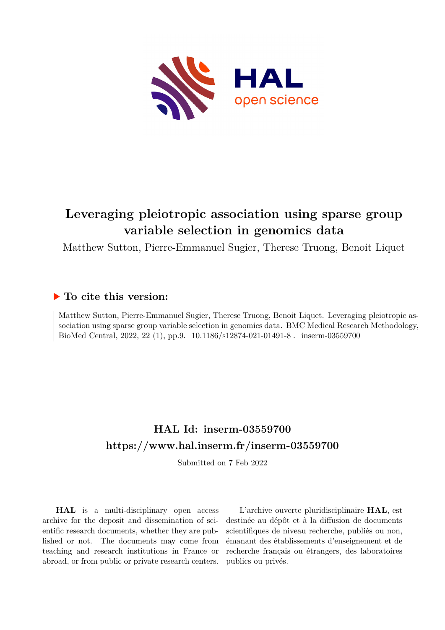

# **Leveraging pleiotropic association using sparse group variable selection in genomics data**

Matthew Sutton, Pierre-Emmanuel Sugier, Therese Truong, Benoit Liquet

## **To cite this version:**

Matthew Sutton, Pierre-Emmanuel Sugier, Therese Truong, Benoit Liquet. Leveraging pleiotropic association using sparse group variable selection in genomics data. BMC Medical Research Methodology, BioMed Central, 2022, 22 (1), pp.9. 10.1186/s12874-021-01491-8 mserm-03559700

# **HAL Id: inserm-03559700 <https://www.hal.inserm.fr/inserm-03559700>**

Submitted on 7 Feb 2022

**HAL** is a multi-disciplinary open access archive for the deposit and dissemination of scientific research documents, whether they are published or not. The documents may come from teaching and research institutions in France or abroad, or from public or private research centers.

L'archive ouverte pluridisciplinaire **HAL**, est destinée au dépôt et à la diffusion de documents scientifiques de niveau recherche, publiés ou non, émanant des établissements d'enseignement et de recherche français ou étrangers, des laboratoires publics ou privés.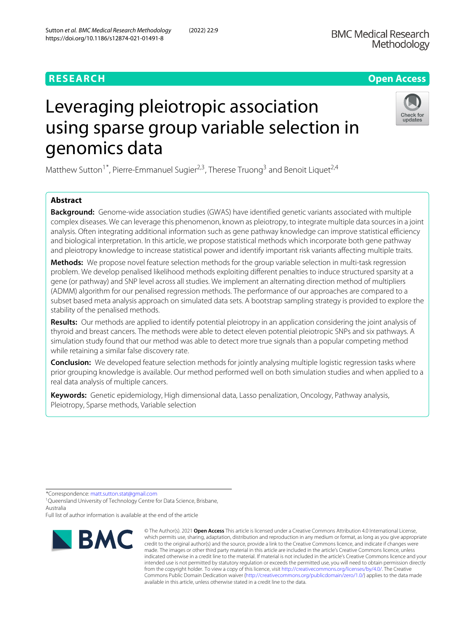# Leveraging pleiotropic association using sparse group variable selection in genomics data

Matthew Sutton<sup>1\*</sup>, Pierre-Emmanuel Sugier<sup>2,3</sup>, Therese Truong<sup>3</sup> and Benoit Liquet<sup>2,4</sup>

### **Abstract**

**Background:** Genome-wide association studies (GWAS) have identified genetic variants associated with multiple complex diseases. We can leverage this phenomenon, known as pleiotropy, to integrate multiple data sources in a joint analysis. Often integrating additional information such as gene pathway knowledge can improve statistical efficiency and biological interpretation. In this article, we propose statistical methods which incorporate both gene pathway and pleiotropy knowledge to increase statistical power and identify important risk variants affecting multiple traits.

**Methods:** We propose novel feature selection methods for the group variable selection in multi-task regression problem. We develop penalised likelihood methods exploiting different penalties to induce structured sparsity at a gene (or pathway) and SNP level across all studies. We implement an alternating direction method of multipliers (ADMM) algorithm for our penalised regression methods. The performance of our approaches are compared to a subset based meta analysis approach on simulated data sets. A bootstrap sampling strategy is provided to explore the stability of the penalised methods.

**Results:** Our methods are applied to identify potential pleiotropy in an application considering the joint analysis of thyroid and breast cancers. The methods were able to detect eleven potential pleiotropic SNPs and six pathways. A simulation study found that our method was able to detect more true signals than a popular competing method while retaining a similar false discovery rate.

**Conclusion:** We developed feature selection methods for jointly analysing multiple logistic regression tasks where prior grouping knowledge is available. Our method performed well on both simulation studies and when applied to a real data analysis of multiple cancers.

**Keywords:** Genetic epidemiology, High dimensional data, Lasso penalization, Oncology, Pathway analysis, Pleiotropy, Sparse methods, Variable selection

\*Correspondence: [matt.sutton.stat@gmail.com](mailto: matt.sutton.stat@gmail.com)

<sup>1</sup>Queensland University of Technology Centre for Data Science, Brisbane, Australia

Full list of author information is available at the end of the article





Check for updates

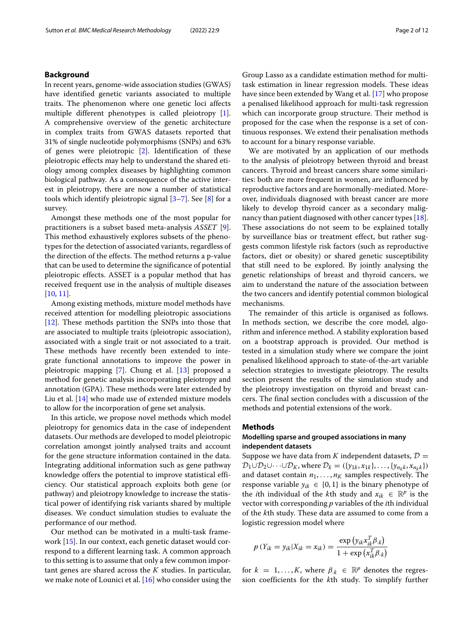#### **Background**

In recent years, genome-wide association studies (GWAS) have identified genetic variants associated to multiple traits. The phenomenon where one genetic loci affects multiple different phenotypes is called pleiotropy [1]. A comprehensive overview of the genetic architecture in complex traits from GWAS datasets reported that 31% of single nucleotide polymorphisms (SNPs) and 63% of genes were pleiotropic [2]. Identification of these pleiotropic effects may help to understand the shared etiology among complex diseases by highlighting common biological pathway. As a consequence of the active interest in pleiotropy, there are now a number of statistical tools which identify pleiotropic signal  $[3–7]$ . See  $[8]$  for a survey.

Amongst these methods one of the most popular for practitioners is a subset based meta-analysis *ASSET* [9]. This method exhaustively explores subsets of the phenotypes for the detection of associated variants, regardless of the direction of the effects. The method returns a p-value that can be used to determine the significance of potential pleiotropic effects. ASSET is a popular method that has received frequent use in the analysis of multiple diseases [10, 11].

Among existing methods, mixture model methods have received attention for modelling pleiotropic associations [12]. These methods partition the SNPs into those that are associated to multiple traits (pleiotropic association), associated with a single trait or not associated to a trait. These methods have recently been extended to integrate functional annotations to improve the power in pleiotropic mapping [7]. Chung et al. [13] proposed a method for genetic analysis incorporating pleiotropy and annotation (GPA). These methods were later extended by Liu et al. [14] who made use of extended mixture models to allow for the incorporation of gene set analysis.

In this article, we propose novel methods which model pleiotropy for genomics data in the case of independent datasets. Our methods are developed to model pleiotropic correlation amongst jointly analysed traits and account for the gene structure information contained in the data. Integrating additional information such as gene pathway knowledge offers the potential to improve statistical efficiency. Our statistical approach exploits both gene (or pathway) and pleiotropy knowledge to increase the statistical power of identifying risk variants shared by multiple diseases. We conduct simulation studies to evaluate the performance of our method.

Our method can be motivated in a multi-task framework [15]. In our context, each genetic dataset would correspond to a different learning task. A common approach to this setting is to assume that only a few common important genes are shared across the *K* studies. In particular, we make note of Lounici et al. [16] who consider using the

Group Lasso as a candidate estimation method for multitask estimation in linear regression models. These ideas have since been extended by Wang et al. [17] who propose a penalised likelihood approach for multi-task regression which can incorporate group structure. Their method is proposed for the case when the response is a set of continuous responses. We extend their penalisation methods to account for a binary response variable.

We are motivated by an application of our methods to the analysis of pleiotropy between thyroid and breast cancers. Thyroid and breast cancers share some similarities: both are more frequent in women, are influenced by reproductive factors and are hormonally-mediated. Moreover, individuals diagnosed with breast cancer are more likely to develop thyroid cancer as a secondary malignancy than patient diagnosed with other cancer types [18]. These associations do not seem to be explained totally by surveillance bias or treatment effect, but rather suggests common lifestyle risk factors (such as reproductive factors, diet or obesity) or shared genetic susceptibility that still need to be explored. By jointly analysing the genetic relationships of breast and thyroid cancers, we aim to understand the nature of the association between the two cancers and identify potential common biological mechanisms.

The remainder of this article is organised as follows. In methods section, we describe the core model, algorithm and inference method. A stability exploration based on a bootstrap approach is provided. Our method is tested in a simulation study where we compare the joint penalised likelihood approach to state-of-the-art variable selection strategies to investigate pleiotropy. The results section present the results of the simulation study and the pleiotropy investigation on thyroid and breast cancers. The final section concludes with a discussion of the methods and potential extensions of the work.

#### **Methods**

#### **Modelling sparse and grouped associations in many independent datasets**

Suppose we have data from *K* independent datasets,  $\mathcal{D} =$  $\mathcal{D}_1 \cup \mathcal{D}_2 \cup \cdots \cup \mathcal{D}_K$ , where  $\mathcal{D}_k = (\{y_{1k}, x_{1k}\}, \ldots, \{y_{n_kk}, x_{n_kk}\})$ and dataset contain  $n_1, \ldots, n_K$  samples respectively. The response variable  $y_{ik} \in \{0, 1\}$  is the binary phenotype of the *i*th individual of the *k*th study and  $x_{ik} \in \mathbb{R}^p$  is the vector with corresponding *p* variables of the *i*th individual of the *k*th study. These data are assumed to come from a logistic regression model where

$$
p(Y_{ik} = y_{ik} | X_{ik} = x_{ik}) = \frac{\exp (y_{ik} x_{ik}^T \beta_{.k})}{1 + \exp (x_{ik}^T \beta_{.k})}
$$

for  $k = 1, ..., K$ , where  $\beta_{k} \in \mathbb{R}^{p}$  denotes the regression coefficients for the *k*th study. To simplify further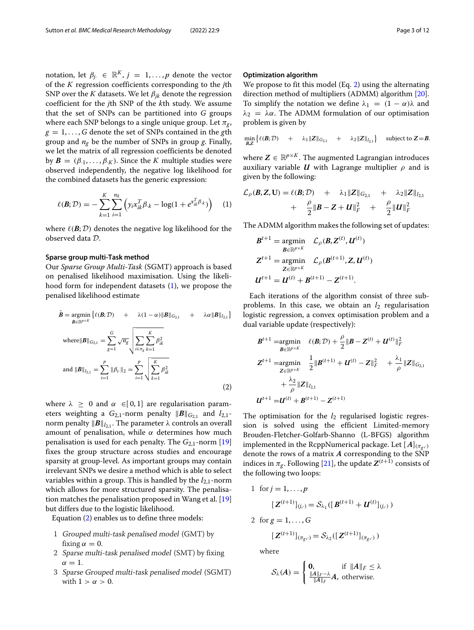notation, let  $\beta_j \in \mathbb{R}^K$ ,  $j = 1, ..., p$  denote the vector of the *K* regression coefficients corresponding to the *j*th SNP over the *K* datasets. We let  $\beta_{ik}$  denote the regression coefficient for the *j*th SNP of the *k*th study. We assume that the set of SNPs can be partitioned into *G* groups where each SNP belongs to a single unique group. Let  $\pi_{\sigma}$ ,  $g = 1, \ldots, G$  denote the set of SNPs contained in the *g*th group and  $n_g$  be the number of SNPs in group *g*. Finally, we let the matrix of all regression coefficients be denoted by  $\mathbf{B} = (\beta_{\cdot 1}, \dots, \beta_{\cdot K})$ . Since the *K* multiple studies were observed independently, the negative log likelihood for the combined datasets has the generic expression:

$$
\ell(\mathbf{B}; \mathcal{D}) = -\sum_{k=1}^{K} \sum_{i=1}^{n_k} \left( y_i x_{ik}^T \beta_{\cdot k} - \log(1 + e^{x_{ik}^T \beta_{\cdot k}}) \right) \quad (1)
$$

where  $\ell(\mathbf{B}; \mathcal{D})$  denotes the negative log likelihood for the observed data D.

#### **Sparse group multi-Task method**

Our *Sparse Group Multi-Task* (SGMT) approach is based on penalised likelihood maximisation. Using the likelihood form for independent datasets  $(1)$ , we propose the penalised likelihood estimate

$$
\hat{B} = \underset{\mathbf{B} \in \mathbb{R}^{p \times K}}{\text{argmin}} \{ \ell(\mathbf{B}; \mathcal{D}) + \lambda (1 - \alpha) \| \mathbf{B} \|_{G_{2,1}} + \lambda \alpha \| \mathbf{B} \|_{l_{2,1}} \}
$$
\n
$$
\text{where } \|\mathbf{B}\|_{G_{2,1}} = \sum_{g=1}^{G} \sqrt{n_g} \sqrt{\sum_{i \in \pi_g} \sum_{k=1}^{K} \beta_{ik}^2}
$$
\n
$$
\text{and } \|\mathbf{B}\|_{l_{2,1}} = \sum_{i=1}^{p} \|\beta_i\|_2 = \sum_{i=1}^{p} \sqrt{\sum_{k=1}^{K} \beta_{ik}^2}
$$
\n
$$
(2)
$$

where  $\lambda \geq 0$  and  $\alpha \in [0,1]$  are regularisation parameters weighting a  $G_{2,1}$ -norm penalty  $\|\boldsymbol{B}\|_{G_{2,1}}$  and  $l_{2,1}$ norm penalty  $\|\boldsymbol{B}\|_{l_2}$ . The parameter  $\lambda$  controls an overall amount of penalisation, while  $\alpha$  determines how much penalisation is used for each penalty. The  $G_{2,1}$ -norm [19] fixes the group structure across studies and encourage sparsity at group-level. As important groups may contain irrelevant SNPs we desire a method which is able to select variables within a group. This is handled by the *l*<sub>2,1</sub>-norm which allows for more structured sparsity. The penalisation matches the penalisation proposed in Wang et al. [19] but differs due to the logistic likelihood.

Equation (2) enables us to define three models:

- 1 Grouped multi-task penalised model (GMT) by fixing  $\alpha = 0$ .
- 2 Sparse multi-task penalised model (SMT) by fixing  $\alpha = 1$
- 3 Sparse Grouped multi-task penalised model (SGMT) with  $1 > \alpha > 0$ .

#### **Optimization algorithm**

We propose to fit this model (Eq. 2) using the alternating direction method of multipliers (ADMM) algorithm [20]. To simplify the notation we define  $\lambda_1 = (1 - \alpha)\lambda$  and  $\lambda_2 = \lambda \alpha$ . The ADMM formulation of our optimisation problem is given by

$$
\min_{\mathcal{B},Z} \left\{ \ell(\mathcal{B};\mathcal{D}) + \lambda_1 \|Z\|_{G_{2,1}} + \lambda_2 \|Z\|_{l_{2,1}} \right\} \text{ subject to } Z = B.
$$

where  $\mathbf{Z} \in \mathbb{R}^{p \times K}$ . The augmented Lagrangian introduces auxiliary variable  $U$  with Lagrange multiplier  $\rho$  and is given by the following:

$$
\mathcal{L}_{\rho}(\mathcal{B}, Z, U) = \ell(\mathcal{B}; \mathcal{D}) + \lambda_1 \|Z\|_{G_{2,1}} + \lambda_2 \|Z\|_{L_{2,1}} \n+ \frac{\rho}{2} \|B - Z + U\|_F^2 + \frac{\rho}{2} \|U\|_F^2
$$

The ADMM algorithm makes the following set of updates:

$$
B^{t+1} = \underset{B \in \mathbb{R}^{p \times K}}{\text{argmin}} \mathcal{L}_{\rho}(B, Z^{(t)}, U^{(t)})
$$
  

$$
Z^{t+1} = \underset{Z \in \mathbb{R}^{p \times K}}{\text{argmin}} \mathcal{L}_{\rho}(B^{(t+1)}, Z, U^{(t)})
$$
  

$$
U^{t+1} = U^{(t)} + B^{(t+1)} - Z^{(t+1)}.
$$

Each iterations of the algorithm consist of three subproblems. In this case, we obtain an  $l_2$  regularisation logistic regression, a convex optimisation problem and a dual variable update (respectively):

$$
B^{t+1} = \underset{B \in \mathbb{R}^{p \times K}}{\operatorname{argmin}} \quad \ell(B; \mathcal{D}) + \frac{\rho}{2} \|B - Z^{(t)} + U^{(t)}\|_F^2
$$
\n
$$
Z^{t+1} = \underset{Z \in \mathbb{R}^{p \times K}}{\operatorname{argmin}} \quad \frac{1}{2} \|B^{(t+1)} + U^{(t)} - Z\|_F^2 + \frac{\lambda_1}{\rho} \|Z\|_{G_{2,1}}
$$
\n
$$
+ \frac{\lambda_2}{\rho} \|Z\|_{l_{2,1}}
$$
\n
$$
U^{t+1} = U^{(t)} + B^{(t+1)} - Z^{(t+1)}
$$

The optimisation for the  $l_2$  regularised logistic regression is solved using the efficient Limited-memory Brouden-Fletcher-Golfarb-Shanno (L-BFGS) algorithm implemented in the RcppNumerical package. Let  $[A]_{(\pi_{\sigma},\cdot)}$ denote the rows of a matrix *A* corresponding to the SNP indices in  $\pi_g$ . Following [21], the update  $Z^{(t+1)}$  consists of the following two loops:

1 for 
$$
j = 1, ..., p
$$
  
\n
$$
[\mathbf{Z}^{(t+1)}]_{(j,\cdot)} = \mathcal{S}_{\lambda_1}([\mathbf{B}^{(t+1)} + \mathbf{U}^{(t)}]_{(j,\cdot)})
$$

2 for  $g = 1, ..., G$ 

$$
[\,Z^{(t+1)}]_{(\pi_g,\cdot)} = \mathcal{S}_{\lambda_2}([\,Z^{(t+1)}]_{(\pi_g,\cdot)})
$$

where

$$
\mathcal{S}_{\lambda}(A) = \begin{cases} \n0, & \text{if } \|A\|_F \leq \lambda \\ \frac{\|A\|_F - \lambda}{\|A\|_F} A, & \text{otherwise.} \n\end{cases}
$$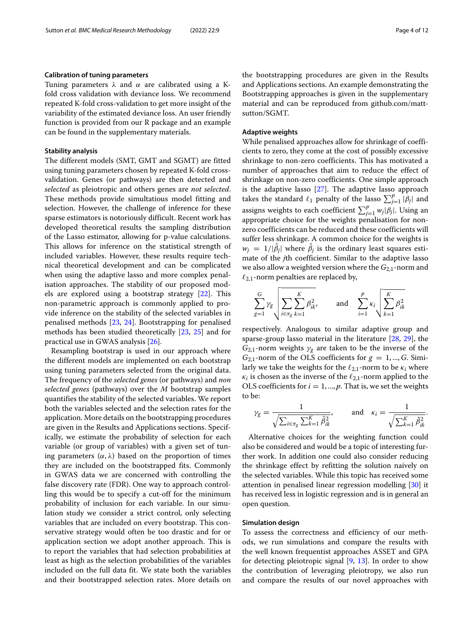#### **Calibration of tuning parameters**

Tuning parameters  $\lambda$  and  $\alpha$  are calibrated using a Kfold cross validation with deviance loss. We recommend repeated K-fold cross-validation to get more insight of the variability of the estimated deviance loss. An user friendly function is provided from our R package and an example can be found in the supplementary materials.

#### **Stability analysis**

The different models (SMT, GMT and SGMT) are fitted using tuning parameters chosen by repeated K-fold crossvalidation. Genes (or pathways) are then detected and *selected* as pleiotropic and others genes are *not selected*. These methods provide simultatious model fitting and selection. However, the challenge of inference for these sparse estimators is notoriously difficult. Recent work has developed theoretical results the sampling distribution of the Lasso estimator, allowing for p-value calculations. This allows for inference on the statistical strength of included variables. However, these results require technical theoretical development and can be complicated when using the adaptive lasso and more complex penalisation approaches. The stability of our proposed models are explored using a bootstrap strategy [22]. This non-parametric approach is commonly applied to provide inference on the stability of the selected variables in penalised methods [23, 24]. Bootstrapping for penalised methods has been studied theoretically [23, 25] and for practical use in GWAS analysis [26].

Resampling bootstrap is used in our approach where the different models are implemented on each bootstrap using tuning parameters selected from the original data. The frequency of the *selected genes* (or pathways) and *non selected genes* (pathways) over the *M* bootstrap samples quantifies the stability of the selected variables. We report both the variables selected and the selection rates for the application. More details on the bootstrapping procedures are given in the Results and Applications sections. Specifically, we estimate the probability of selection for each variable (or group of variables) with a given set of tuning parameters  $(\alpha, \lambda)$  based on the proportion of times they are included on the bootstrapped fits. Commonly in GWAS data we are concerned with controlling the false discovery rate (FDR). One way to approach controlling this would be to specify a cut-off for the minimum probability of inclusion for each variable. In our simulation study we consider a strict control, only selecting variables that are included on every bootstrap. This conservative strategy would often be too drastic and for or application section we adopt another approach. This is to report the variables that had selection probabilities at least as high as the selection probabilities of the variables included on the full data fit. We state both the variables and their bootstrapped selection rates. More details on

the bootstrapping procedures are given in the Results and Applications sections. An example demonstrating the Bootstrapping approaches is given in the supplementary material and can be reproduced from github.com/mattsutton/SGMT.

#### **Adaptive weights**

While penalised approaches allow for shrinkage of coefficients to zero, they come at the cost of possibly excessive shrinkage to non-zero coefficients. This has motivated a number of approaches that aim to reduce the effect of shrinkage on non-zero coefficients. One simple approach is the adaptive lasso [27]. The adaptive lasso approach takes the standard  $\ell_1$  penalty of the lasso  $\sum_{j=1}^{p} |\beta_j|$  and assigns weights to each coefficient  $\sum_{j=1}^{p} w_j |\beta_j|$ . Using an appropriate choice for the weights penalisation for nonzero coefficients can be reduced and these coefficients will suffer less shrinkage. A common choice for the weights is  $w_j = 1/|\beta_j|$  where  $\beta_j$  is the ordinary least squares estimate of the *j*th coefficient. Similar to the adaptive lasso we also allow a weighted version where the  $G_{2,1}$ -norm and  $\ell_{2,1}$ -norm penalties are replaced by,

$$
\sum_{g=1}^{G} \gamma_g \sqrt{\sum_{i \in \pi_g} \sum_{k=1}^{K} \beta_{ik}^2}, \quad \text{and} \quad \sum_{i=1}^{p} \kappa_i \sqrt{\sum_{k=1}^{K} \beta_{ik}^2}
$$

respectively. Analogous to similar adaptive group and sparse-group lasso material in the literature [28, 29], the  $G_{2,1}$ -norm weights  $\gamma_g$  are taken to be the inverse of the  $G_{2,1}$ -norm of the OLS coefficients for  $g = 1, ..., G$ . Similarly we take the weights for the  $\ell_{2,1}$ -norm to be  $\kappa_i$  where  $\kappa_i$  is chosen as the inverse of the  $\ell_{2,1}$ -norm applied to the OLS coefficients for  $i = 1, ..., p$ . That is, we set the weights to be:

$$
\gamma_g = \frac{1}{\sqrt{\sum_{i \in \pi_g} \sum_{k=1}^K \hat{\beta}_{ik}^2}}, \quad \text{and} \quad \kappa_i = \frac{1}{\sqrt{\sum_{k=1}^K \hat{\beta}_{ik}^2}}.
$$

Alternative choices for the weighting function could also be considered and would be a topic of interesting further work. In addition one could also consider reducing the shrinkage effect by refitting the solution naively on the selected variables. While this topic has received some attention in penalised linear regression modelling [30] it has received less in logistic regression and is in general an open question.

#### **Simulation design**

To assess the correctness and efficiency of our methods, we run simulations and compare the results with the well known frequentist approaches ASSET and GPA for detecting pleiotropic signal [9, 13]. In order to show the contribution of leveraging pleiotropy, we also run and compare the results of our novel approaches with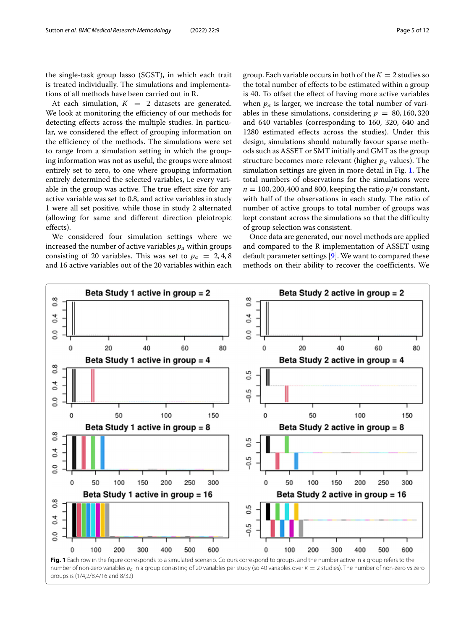the single-task group lasso (SGST), in which each trait is treated individually. The simulations and implementations of all methods have been carried out in R.

At each simulation,  $K = 2$  datasets are generated. We look at monitoring the efficiency of our methods for detecting effects across the multiple studies. In particular, we considered the effect of grouping information on the efficiency of the methods. The simulations were set to range from a simulation setting in which the grouping information was not as useful, the groups were almost entirely set to zero, to one where grouping information entirely determined the selected variables, i.e every variable in the group was active. The true effect size for any active variable was set to 0.8, and active variables in study 1 were all set positive, while those in study 2 alternated (allowing for same and different direction pleiotropic effects).

We considered four simulation settings where we increased the number of active variables *pa* within groups consisting of 20 variables. This was set to  $p_a = 2, 4, 8$ and 16 active variables out of the 20 variables within each group. Each variable occurs in both of the  $K = 2$  studies so the total number of effects to be estimated within a group is 40. To offset the effect of having more active variables when  $p_a$  is larger, we increase the total number of variables in these simulations, considering  $p = 80, 160, 320$ and 640 variables (corresponding to 160, 320, 640 and 1280 estimated effects across the studies). Under this design, simulations should naturally favour sparse methods such as ASSET or SMT initially and GMT as the group structure becomes more relevant (higher *pa* values). The simulation settings are given in more detail in Fig. 1. The total numbers of observations for the simulations were  $n = 100, 200, 400$  and 800, keeping the ratio  $p/n$  constant, with half of the observations in each study. The ratio of number of active groups to total number of groups was kept constant across the simulations so that the difficulty of group selection was consistent.

Once data are generated, our novel methods are applied and compared to the R implementation of ASSET using default parameter settings [9]. We want to compared these methods on their ability to recover the coefficients. We

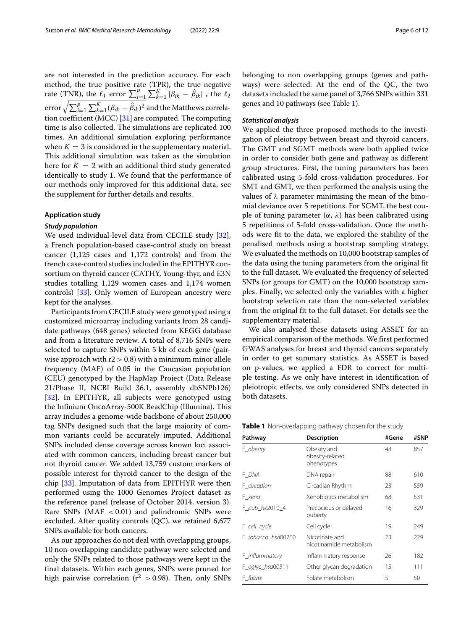are not interested in the prediction accuracy. For each method, the true positive rate (TPR), the true negative rate (TNR), the  $\ell_1$  error  $\sum_{i=1}^p \sum_{k=1}^K |\beta_{ik} - \hat{\beta}_{ik}|$ , the  $\ell_2$ error  $\sqrt{\sum_{i=1}^p\sum_{k=1}^K (\beta_{ik} - \hat\beta_{ik})^2}$  and the Matthews correlation coefficient (MCC) [31] are computed. The computing time is also collected. The simulations are replicated 100 times. An additional simulation exploring performance when  $K = 3$  is considered in the supplementary material. This additional simulation was taken as the simulation here for  $K = 2$  with an additional third study generated identically to study 1. We found that the performance of our methods only improved for this additional data, see the supplement for further details and results.

#### **Application study**

#### *Study population*

We used individual-level data from CECILE study [32], a French population-based case-control study on breast cancer (1,125 cases and 1,172 controls) and from the french case-control studies included in the EPITHYR consortium on thyroid cancer (CATHY, Young-thyr, and E3N studies totalling 1,129 women cases and 1,174 women controls) [33]. Only women of European ancestry were kept for the analyses.

Participants from CECILE study were genotyped using a customized microarray including variants from 28 candidate pathways (648 genes) selected from KEGG database and from a literature review. A total of 8,716 SNPs were selected to capture SNPs within 5 kb of each gene (pairwise approach with  $r2 > 0.8$ ) with a minimum minor allele frequency (MAF) of 0.05 in the Caucasian population (CEU) genotyped by the HapMap Project (Data Release 21/Phase II, NCBI Build 36.1, assembly dbSNPb126) [32]. In EPITHYR, all subjects were genotyped using the Infinium OncoArray-500K BeadChip (Illumina). This array includes a genome-wide backbone of about 250,000 tag SNPs designed such that the large majority of common variants could be accurately imputed. Additional SNPs included dense coverage across known loci associated with common cancers, including breast cancer but not thyroid cancer. We added 13,759 custom markers of possible interest for thyroid cancer to the design of the chip [33]. Imputation of data from EPITHYR were then performed using the 1000 Genomes Project dataset as the reference panel (release of October 2014, version 3). Rare SNPs ( $MAF < 0.01$ ) and palindromic SNPs were excluded. After quality controls (QC), we retained 6,677 SNPs available for both cancers.

As our approaches do not deal with overlapping groups, 10 non-overlapping candidate pathway were selected and only the SNPs related to those pathways were kept in the final datasets. Within each genes, SNPs were pruned for high pairwise correlation ( $r^2 > 0.98$ ). Then, only SNPs

belonging to non overlapping groups (genes and pathways) were selected. At the end of the QC, the two datasets included the same panel of 3,766 SNPs within 331 genes and 10 pathways (see Table 1).

#### *Statistical analysis*

We applied the three proposed methods to the investigation of pleiotropy between breast and thyroid cancers. The GMT and SGMT methods were both applied twice in order to consider both gene and pathway as different group structures. First, the tuning parameters has been calibrated using 5-fold cross-validation procedures. For SMT and GMT, we then performed the analysis using the values of  $\lambda$  parameter minimising the mean of the binomial deviance over 5 repetitions. For SGMT, the best couple of tuning parameter  $(α, λ)$  has been calibrated using 5 repetitions of 5-fold cross-validation. Once the methods were fit to the data, we explored the stability of the penalised methods using a bootstrap sampling strategy. We evaluated the methods on 10,000 bootstrap samples of the data using the tuning parameters from the original fit to the full dataset. We evaluated the frequency of selected SNPs (or groups for GMT) on the 10,000 bootstrap samples. Finally, we selected only the variables with a higher bootstrap selection rate than the non-selected variables from the original fit to the full dataset. For details see the supplementary material.

We also analysed these datasets using ASSET for an empirical comparison of the methods. We first performed GWAS analyses for breast and thyroid cancers separately in order to get summary statistics. As ASSET is based on p-values, we applied a FDR to correct for multiple testing. As we only have interest in identification of pleiotropic effects, we only considered SNPs detected in both datasets.

| Table 1 Non-overlapping pathway chosen for the study |  |  |
|------------------------------------------------------|--|--|
|------------------------------------------------------|--|--|

| Pathway            | #Gene                                        | #SNP |     |
|--------------------|----------------------------------------------|------|-----|
| F obesity          | Obesity and<br>obesity-related<br>phenotypes | 48   | 857 |
| F DNA              | DNA repair                                   | 88   | 610 |
| F circadian        | Circadian Rhythm                             | 23   | 559 |
| F_xeno             | Xenobiotics metabolism                       | 68   | 531 |
| F_pub_he2010_4     | Precocious or delayed<br>puberty             | 16   | 329 |
| F_cell_cycle       | Cell cycle                                   | 19   | 249 |
| F tobacco hsa00760 | Nicotinate and<br>nicotinamide metabolism    | 23   | 229 |
| F_inflammatory     | Inflammatory response                        | 26   | 182 |
| F_oglyc_hsa00511   | Other glycan degradation                     | 15   | 111 |
| F folate           | Folate metabolism                            | 5    | 50  |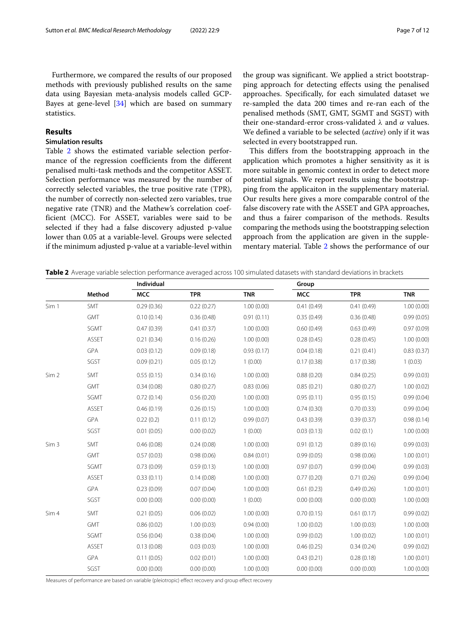Furthermore, we compared the results of our proposed methods with previously published results on the same data using Bayesian meta-analysis models called GCP-Bayes at gene-level  $[34]$  which are based on summary statistics.

#### **Results**

#### **Simulation results**

Table 2 shows the estimated variable selection performance of the regression coefficients from the different penalised multi-task methods and the competitor ASSET. Selection performance was measured by the number of correctly selected variables, the true positive rate (TPR), the number of correctly non-selected zero variables, true negative rate (TNR) and the Mathew's correlation coefficient (MCC). For ASSET, variables were said to be selected if they had a false discovery adjusted p-value lower than 0.05 at a variable-level. Groups were selected if the minimum adjusted p-value at a variable-level within the group was significant. We applied a strict bootstrapping approach for detecting effects using the penalised approaches. Specifically, for each simulated dataset we re-sampled the data 200 times and re-ran each of the penalised methods (SMT, GMT, SGMT and SGST) with their one-standard-error cross-validated  $\lambda$  and  $\alpha$  values. We defined a variable to be selected (*active*) only if it was selected in every bootstrapped run.

This differs from the bootstrapping approach in the application which promotes a higher sensitivity as it is more suitable in genomic context in order to detect more potential signals. We report results using the bootstrapping from the applicaiton in the supplementary material. Our results here gives a more comparable control of the false discovery rate with the ASSET and GPA approaches, and thus a fairer comparison of the methods. Results comparing the methods using the bootstrapping selection approach from the application are given in the supplementary material. Table 2 shows the performance of our

**Table 2** Average variable selection performance averaged across 100 simulated datasets with standard deviations in brackets

|                  |              | Individual |            |            | Group      |            |            |
|------------------|--------------|------------|------------|------------|------------|------------|------------|
|                  | Method       | <b>MCC</b> | <b>TPR</b> | <b>TNR</b> | <b>MCC</b> | <b>TPR</b> | <b>TNR</b> |
| Sim 1            | SMT          | 0.29(0.36) | 0.22(0.27) | 1.00(0.00) | 0.41(0.49) | 0.41(0.49) | 1.00(0.00) |
|                  | <b>GMT</b>   | 0.10(0.14) | 0.36(0.48) | 0.91(0.11) | 0.35(0.49) | 0.36(0.48) | 0.99(0.05) |
|                  | SGMT         | 0.47(0.39) | 0.41(0.37) | 1.00(0.00) | 0.60(0.49) | 0.63(0.49) | 0.97(0.09) |
|                  | <b>ASSET</b> | 0.21(0.34) | 0.16(0.26) | 1.00(0.00) | 0.28(0.45) | 0.28(0.45) | 1.00(0.00) |
|                  | GPA          | 0.03(0.12) | 0.09(0.18) | 0.93(0.17) | 0.04(0.18) | 0.21(0.41) | 0.83(0.37) |
|                  | SGST         | 0.09(0.21) | 0.05(0.12) | 1(0.00)    | 0.17(0.38) | 0.17(0.38) | 1(0.03)    |
| Sim <sub>2</sub> | SMT          | 0.55(0.15) | 0.34(0.16) | 1.00(0.00) | 0.88(0.20) | 0.84(0.25) | 0.99(0.03) |
|                  | <b>GMT</b>   | 0.34(0.08) | 0.80(0.27) | 0.83(0.06) | 0.85(0.21) | 0.80(0.27) | 1.00(0.02) |
|                  | SGMT         | 0.72(0.14) | 0.56(0.20) | 1.00(0.00) | 0.95(0.11) | 0.95(0.15) | 0.99(0.04) |
|                  | <b>ASSET</b> | 0.46(0.19) | 0.26(0.15) | 1.00(0.00) | 0.74(0.30) | 0.70(0.33) | 0.99(0.04) |
|                  | <b>GPA</b>   | 0.22(0.2)  | 0.11(0.12) | 0.99(0.07) | 0.43(0.39) | 0.39(0.37) | 0.98(0.14) |
|                  | SGST         | 0.01(0.05) | 0.00(0.02) | 1(0.00)    | 0.03(0.13) | 0.02(0.1)  | 1.00(0.00) |
| Sim <sub>3</sub> | SMT          | 0.46(0.08) | 0.24(0.08) | 1.00(0.00) | 0.91(0.12) | 0.89(0.16) | 0.99(0.03) |
|                  | <b>GMT</b>   | 0.57(0.03) | 0.98(0.06) | 0.84(0.01) | 0.99(0.05) | 0.98(0.06) | 1.00(0.01) |
|                  | SGMT         | 0.73(0.09) | 0.59(0.13) | 1.00(0.00) | 0.97(0.07) | 0.99(0.04) | 0.99(0.03) |
|                  | <b>ASSET</b> | 0.33(0.11) | 0.14(0.08) | 1.00(0.00) | 0.77(0.20) | 0.71(0.26) | 0.99(0.04) |
|                  | <b>GPA</b>   | 0.23(0.09) | 0.07(0.04) | 1.00(0.00) | 0.61(0.23) | 0.49(0.26) | 1.00(0.01) |
|                  | SGST         | 0.00(0.00) | 0.00(0.00) | 1(0.00)    | 0.00(0.00) | 0.00(0.00) | 1.00(0.00) |
| Sim 4            | SMT          | 0.21(0.05) | 0.06(0.02) | 1.00(0.00) | 0.70(0.15) | 0.61(0.17) | 0.99(0.02) |
|                  | <b>GMT</b>   | 0.86(0.02) | 1.00(0.03) | 0.94(0.00) | 1.00(0.02) | 1.00(0.03) | 1.00(0.00) |
|                  | SGMT         | 0.56(0.04) | 0.38(0.04) | 1.00(0.00) | 0.99(0.02) | 1.00(0.02) | 1.00(0.01) |
|                  | <b>ASSET</b> | 0.13(0.08) | 0.03(0.03) | 1.00(0.00) | 0.46(0.25) | 0.34(0.24) | 0.99(0.02) |
|                  | <b>GPA</b>   | 0.11(0.05) | 0.02(0.01) | 1.00(0.00) | 0.43(0.21) | 0.28(0.18) | 1.00(0.01) |
|                  | SGST         | 0.00(0.00) | 0.00(0.00) | 1.00(0.00) | 0.00(0.00) | 0.00(0.00) | 1.00(0.00) |

Measures of performance are based on variable (pleiotropic) effect recovery and group effect recovery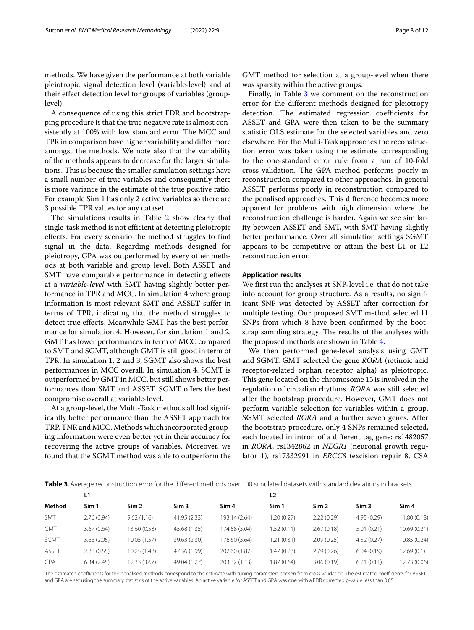methods. We have given the performance at both variable pleiotropic signal detection level (variable-level) and at their effect detection level for groups of variables (grouplevel).

A consequence of using this strict FDR and bootstrapping procedure is that the true negative rate is almost consistently at 100% with low standard error. The MCC and TPR in comparison have higher variability and differ more amongst the methods. We note also that the variability of the methods appears to decrease for the larger simulations. This is because the smaller simulation settings have a small number of true variables and consequently there is more variance in the estimate of the true positive ratio. For example Sim 1 has only 2 active variables so there are 3 possible TPR values for any dataset.

The simulations results in Table 2 show clearly that single-task method is not efficient at detecting pleiotropic effects. For every scenario the method struggles to find signal in the data. Regarding methods designed for pleiotropy, GPA was outperformed by every other methods at both variable and group level. Both ASSET and SMT have comparable performance in detecting effects at a *variable-level* with SMT having slightly better performance in TPR and MCC. In simulation 4 where group information is most relevant SMT and ASSET suffer in terms of TPR, indicating that the method struggles to detect true effects. Meanwhile GMT has the best performance for simulation 4. However, for simulation 1 and 2, GMT has lower performances in term of MCC compared to SMT and SGMT, although GMT is still good in term of TPR. In simulation 1, 2 and 3, SGMT also shows the best performances in MCC overall. In simulation 4, SGMT is outperformed by GMT in MCC, but still shows better performances than SMT and ASSET. SGMT offers the best compromise overall at variable-level.

At a group-level, the Multi-Task methods all had significantly better performance than the ASSET approach for TRP, TNR and MCC. Methods which incorporated grouping information were even better yet in their accuracy for recovering the active groups of variables. Moreover, we found that the SGMT method was able to outperform the GMT method for selection at a group-level when there was sparsity within the active groups.

Finally, in Table 3 we comment on the reconstruction error for the different methods designed for pleiotropy detection. The estimated regression coefficients for ASSET and GPA were then taken to be the summary statistic OLS estimate for the selected variables and zero elsewhere. For the Multi-Task approaches the reconstruction error was taken using the estimate corresponding to the one-standard error rule from a run of 10-fold cross-validation. The GPA method performs poorly in reconstruction compared to other approaches. In general ASSET performs poorly in reconstruction compared to the penalised approaches. This difference becomes more apparent for problems with high dimension where the reconstruction challenge is harder. Again we see similarity between ASSET and SMT, with SMT having slightly better performance. Over all simulation settings SGMT appears to be competitive or attain the best L1 or L2 reconstruction error.

#### **Application results**

We first run the analyses at SNP-level i.e. that do not take into account for group structure. As a results, no significant SNP was detected by ASSET after correction for multiple testing. Our proposed SMT method selected 11 SNPs from which 8 have been confirmed by the bootstrap sampling strategy. The results of the analyses with the proposed methods are shown in Table 4.

We then performed gene-level analysis using GMT and SGMT. GMT selected the gene *RORA* (retinoic acid receptor-related orphan receptor alpha) as pleiotropic. This gene located on the chromosome 15 is involved in the regulation of circadian rhythms. *RORA* was still selected after the bootstrap procedure. However, GMT does not perform variable selection for variables within a group. SGMT selected *RORA* and a further seven genes. After the bootstrap procedure, only 4 SNPs remained selected, each located in intron of a different tag gene: rs1482057 in *RORA*, rs1342862 in *NEGR1* (neuronal growth regulator 1), rs17332991 in *ERCC8* (excision repair 8, CSA

**Table 3** Average reconstruction error for the different methods over 100 simulated datasets with standard deviations in brackets

| Method       | L1         |                  |                  | L <sub>2</sub>   |             |                  |                  |                  |
|--------------|------------|------------------|------------------|------------------|-------------|------------------|------------------|------------------|
|              | Sim 1      | Sim <sub>2</sub> | Sim <sub>3</sub> | Sim <sub>4</sub> | Sim 1       | Sim <sub>2</sub> | Sim <sub>3</sub> | Sim <sub>4</sub> |
| <b>SMT</b>   | 2.76(0.94) | 9.62(1.16)       | 41.95 (2.33)     | 193.14 (2.64)    | 1.20 (0.27) | 2.22(0.29)       | 4.95(0.29)       | 11.80 (0.18)     |
| <b>GMT</b>   | 3.67(0.64) | 13.60 (0.58)     | 45.68 (1.35)     | 174.58 (3.04)    | 1.52(0.11)  | 2.67(0.18)       | 5.01(0.21)       | 10.69 (0.21)     |
| SGMT         | 3.66(2.05) | 10.05(1.57)      | 39.63 (2.30)     | 176.60 (3.64)    | 1.21 (0.31) | 2.09(0.25)       | 4.52(0.27)       | 10.85 (0.24)     |
| <b>ASSET</b> | 2.88(0.55) | 10.25(1.48)      | 47.36 (1.99)     | 202.60 (1.87)    | 1.47 (0.23) | 2.79(0.26)       | 6.04(0.19)       | 12.69(0.1)       |
| <b>GPA</b>   | 6.34(7.45) | 12.33 (3.67)     | 49.04 (1.27)     | 203.32 (1.13)    | 1.87 (0.64) | 3.06(0.19)       | 6.21(0.11)       | 12.73 (0.06)     |

The estimated coefficients for the penalised methods correspond to the estimate with tuning parameters chosen from cross validation. The estimated coefficients for ASSET and GPA are set using the summary statistics of the active variables. An active variable for ASSET and GPA was one with a FDR corrected p-value less than 0.05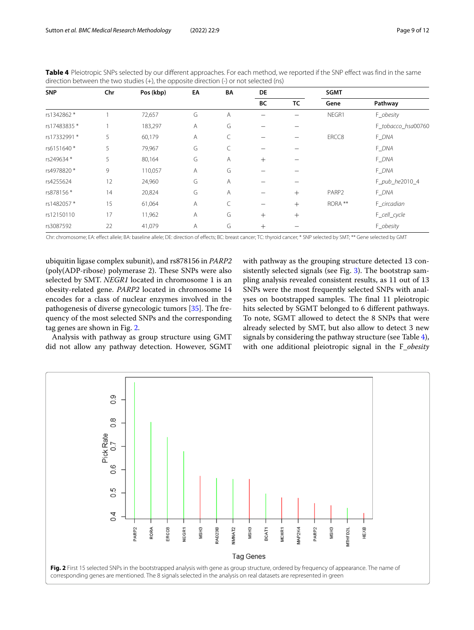| <b>SNP</b>  | Chr | Pos (kbp) | EA | BA | DE     |        | <b>SGMT</b> |                    |
|-------------|-----|-----------|----|----|--------|--------|-------------|--------------------|
|             |     |           |    |    | BC     | TC     | Gene        | Pathway            |
| rs1342862 * |     | 72,657    | G  | Α  |        |        | NEGR1       | F_obesity          |
| rs17483835* |     | 183,297   | Α  | G  |        |        |             | F_tobacco_hsa00760 |
| rs17332991* | 5   | 60,179    | Α  | C  |        |        | ERCC8       | F_DNA              |
| rs6151640*  | 5   | 79,967    | G  | C  |        |        |             | F_DNA              |
| rs249634*   | 5   | 80,164    | G  | Α  | $+$    |        |             | F DNA              |
| rs4978820*  | 9   | 110,057   | Α  | G  |        |        |             | F_DNA              |
| rs4255624   | 12  | 24,960    | G  | Α  |        |        |             | F_pub_he2010_4     |
| rs878156*   | 14  | 20,824    | G  | Α  |        | $+$    | PARP2       | F_DNA              |
| rs1482057*  | 15  | 61,064    | Α  |    |        | $^{+}$ | RORA **     | F_circadian        |
| rs12150110  | 17  | 11,962    | Α  | G  | $+$    | $^{+}$ |             | F_cell_cycle       |
| rs3087592   | 22  | 41,079    | Α  | G  | $^{+}$ |        |             | F_obesity          |

**Table 4** Pleiotropic SNPs selected by our different approaches. For each method, we reported if the SNP effect was find in the same direction between the two studies (+), the opposite direction (-) or not selected (ns)

Chr: chromosome; EA: effect allele; BA: baseline allele; DE: direction of effects; BC: breast cancer; TC: thyroid cancer; \* SNP selected by SMT; \*\* Gene selected by GMT

ubiquitin ligase complex subunit), and rs878156 in *PARP2* (poly(ADP-ribose) polymerase 2). These SNPs were also selected by SMT. *NEGR1* located in chromosome 1 is an obesity-related gene. *PARP2* located in chromosome 14 encodes for a class of nuclear enzymes involved in the pathogenesis of diverse gynecologic tumors [35]. The frequency of the most selected SNPs and the corresponding tag genes are shown in Fig. 2.

Analysis with pathway as group structure using GMT did not allow any pathway detection. However, SGMT with pathway as the grouping structure detected 13 consistently selected signals (see Fig. 3). The bootstrap sampling analysis revealed consistent results, as 11 out of 13 SNPs were the most frequently selected SNPs with analyses on bootstrapped samples. The final 11 pleiotropic hits selected by SGMT belonged to 6 different pathways. To note, SGMT allowed to detect the 8 SNPs that were already selected by SMT, but also allow to detect 3 new signals by considering the pathway structure (see Table 4), with one additional pleiotropic signal in the F\_*obesity*

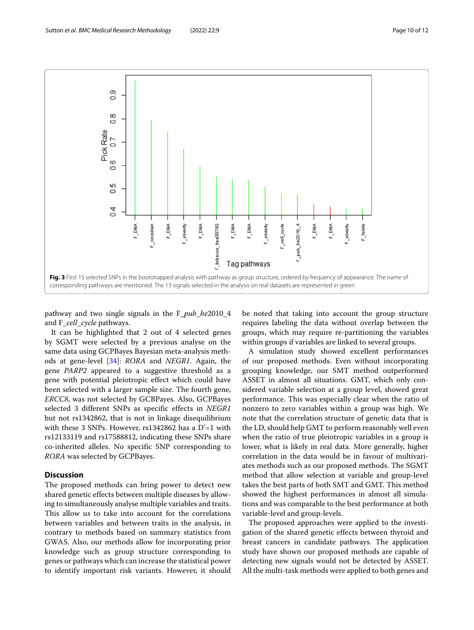



pathway and two single signals in the F\_*pub*\_*he*2010\_4 and F\_*cell*\_*cycle* pathways.

It can be highlighted that 2 out of 4 selected genes by SGMT were selected by a previous analyse on the same data using GCPBayes Bayesian meta-analysis methods at gene-level [34]: *RORA* and *NEGR1*. Again, the gene *PARP2* appeared to a suggestive threshold as a gene with potential pleiotropic effect which could have been selected with a larger sample size. The fourth gene, *ERCC8*, was not selected by GCBPayes. Also, GCPBayes selected 3 different SNPs as specific effects in *NEGR1* but not rs1342862, that is not in linkage disequilibrium with these 3 SNPs. However, rs1342862 has a D'=1 with rs12133119 and rs17588812, indicating these SNPs share co-inherited alleles. No specific SNP corresponding to *RORA* was selected by GCPBayes.

#### **Discussion**

The proposed methods can bring power to detect new shared genetic effects between multiple diseases by allowing to simultaneously analyse multiple variables and traits. This allow us to take into account for the correlations between variables and between traits in the analysis, in contrary to methods based on summary statistics from GWAS. Also, our methods allow for incorporating prior knowledge such as group structure corresponding to genes or pathways which can increase the statistical power to identify important risk variants. However, it should

be noted that taking into account the group structure requires labeling the data without overlap between the groups, which may require re-partitioning the variables within groups if variables are linked to several groups.

A simulation study showed excellent performances of our proposed methods. Even without incorporating grouping knowledge, our SMT method outperformed ASSET in almost all situations. GMT, which only considered variable selection at a group level, showed great performance. This was especially clear when the ratio of nonzero to zero variables within a group was high. We note that the correlation structure of genetic data that is the LD, should help GMT to perform reasonably well even when the ratio of true pleiotropic variables in a group is lower, what is likely in real data. More generally, higher correlation in the data would be in favour of multivariates methods such as our proposed methods. The SGMT method that allow selection at variable and group-level takes the best parts of both SMT and GMT. This method showed the highest performances in almost all simulations and was comparable to the best performance at both variable-level and group-levels.

The proposed approaches were applied to the investigation of the shared genetic effects between thyroid and breast cancers in candidate pathways. The application study have shown our proposed methods are capable of detecting new signals would not be detected by ASSET. All the multi-task methods were applied to both genes and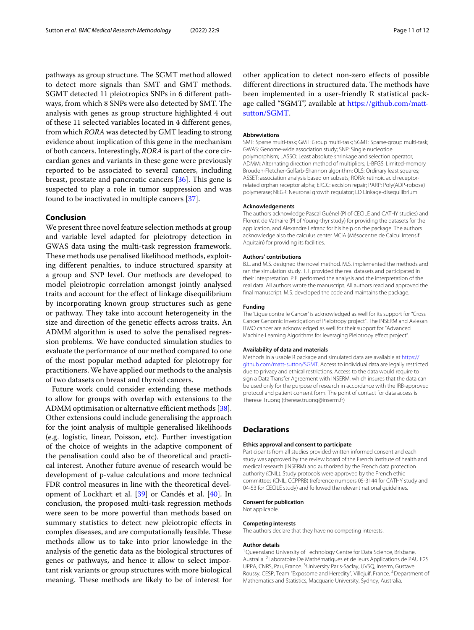pathways as group structure. The SGMT method allowed to detect more signals than SMT and GMT methods. SGMT detected 11 pleiotropics SNPs in 6 different pathways, from which 8 SNPs were also detected by SMT. The analysis with genes as group structure highlighted 4 out of these 11 selected variables located in 4 different genes, from which *RORA* was detected by GMT leading to strong evidence about implication of this gene in the mechanism of both cancers. Interestingly, *RORA* is part of the core circardian genes and variants in these gene were previously reported to be associated to several cancers, including breast, prostate and pancreatic cancers [36]. This gene is suspected to play a role in tumor suppression and was found to be inactivated in multiple cancers [37].

#### **Conclusion**

We present three novel feature selection methods at group and variable level adapted for pleiotropy detection in GWAS data using the multi-task regression framework. These methods use penalised likelihood methods, exploiting different penalties, to induce structured sparsity at a group and SNP level. Our methods are developed to model pleiotropic correlation amongst jointly analysed traits and account for the effect of linkage disequilibrium by incorporating known group structures such as gene or pathway. They take into account heterogeneity in the size and direction of the genetic effects across traits. An ADMM algorithm is used to solve the penalised regression problems. We have conducted simulation studies to evaluate the performance of our method compared to one of the most popular method adapted for pleiotropy for practitioners. We have applied our methods to the analysis of two datasets on breast and thyroid cancers.

Future work could consider extending these methods to allow for groups with overlap with extensions to the ADMM optimisation or alternative efficient methods [38]. Other extensions could include generalising the approach for the joint analysis of multiple generalised likelihoods (e.g. logistic, linear, Poisson, etc). Further investigation of the choice of weights in the adaptive component of the penalisation could also be of theoretical and practical interest. Another future avenue of research would be development of p-value calculations and more technical FDR control measures in line with the theoretical development of Lockhart et al. [39] or Candés et al. [40]. In conclusion, the proposed multi-task regression methods were seen to be more powerful than methods based on summary statistics to detect new pleiotropic effects in complex diseases, and are computationally feasible. These methods allow us to take into prior knowledge in the analysis of the genetic data as the biological structures of genes or pathways, and hence it allow to select important risk variants or group structures with more biological meaning. These methods are likely to be of interest for

other application to detect non-zero effects of possible different directions in structured data. The methods have been implemented in a user-friendly R statistical package called "SGMT", available at [https://github.com/matt](https://github.com/matt-sutton/SGMT)[sutton/SGMT.](https://github.com/matt-sutton/SGMT)

#### **Abbreviations**

SMT: Sparse multi-task; GMT: Group multi-task; SGMT: Sparse-group multi-task; GWAS: Genome-wide association study; SNP: Single nucleotide polymorphism; LASSO: Least absolute shrinkage and selection operator; ADMM: Alternating direction method of multipliers; L-BFGS: Limited-memory Brouden-Fletcher-Golfarb-Shannon algorithm; OLS: Ordinary least squares; ASSET: association analysis based on subsets; RORA: retinoic acid receptorrelated orphan receptor alpha; ERCC: excision repair; PARP: Poly(ADP-robose) polymerase; NEGR: Neuronal growth regulator; LD Linkage-disequilibrium

#### **Acknowledgements**

The authors acknowledge Pascal Guénel (PI of CECILE and CATHY studies) and Florent de Vathaire (PI of Young-thyr study) for providing the datasets for the application, and Alexandre Lefranc for his help on the package. The authors acknowledge also the calculus center MCIA (Mésocentre de Calcul Intensif Aquitain) for providing its facilities.

#### **Authors' contributions**

B.L. and M.S. designed the novel method. M.S. implemented the methods and ran the simulation study. T.T. provided the real datasets and participated in their interpretation. P.E. performed the analysis and the interpretation of the real data. All authors wrote the manuscript. All authors read and approved the final manuscript. M.S. developed the code and maintains the package.

#### **Funding**

The 'Ligue contre le Cancer' is acknowledged as well for its support for "Cross Cancer Genomic Investigation of Pleiotropy project". The INSERM and Aviesan ITMO cancer are acknowledged as well for their support for "Advanced Machine Learning Algorithms for leveraging Pleiotropy effect project".

#### **Availability of data and materials**

Methods in a usable R package and simulated data are available at [https://](https://github.com/matt-sutton/SGMT) [github.com/matt-sutton/SGMT.](https://github.com/matt-sutton/SGMT) Access to individual data are legally restricted due to privacy and ethical restrictions. Access to the data would require to sign a Data Transfer Agreement with INSERM, which insures that the data can be used only for the purpose of research in accordance with the IRB-approved protocol and patient consent form. The point of contact for data access is Therese Truong (therese.truong@inserm.fr)

#### **Declarations**

#### **Ethics approval and consent to participate**

Participants from all studies provided written informed consent and each study was approved by the review board of the French institute of health and medical research (INSERM) and authorized by the French data protection authority (CNIL). Study protocols were approved by the French ethic committees (CNIL, CCPPRB) (reference numbers 05-3144 for CATHY study and 04-53 for CECILE study) and followed the relevant national guidelines.

#### **Consent for publication**

Not applicable.

#### **Competing interests**

The authors declare that they have no competing interests.

#### **Author details**

<sup>1</sup> Queensland University of Technology Centre for Data Science, Brisbane, Australia. 2Laboratoire De Mathématiques et de leurs Applications de PAU E2S UPPA, CNRS, Pau, France. 3University Paris-Saclay, UVSQ, Inserm, Gustave Roussy, CESP, Team "Exposome and Heredity", Villejuif, France. 4Department of Mathematics and Statistics, Macquarie University, Sydney, Australia.